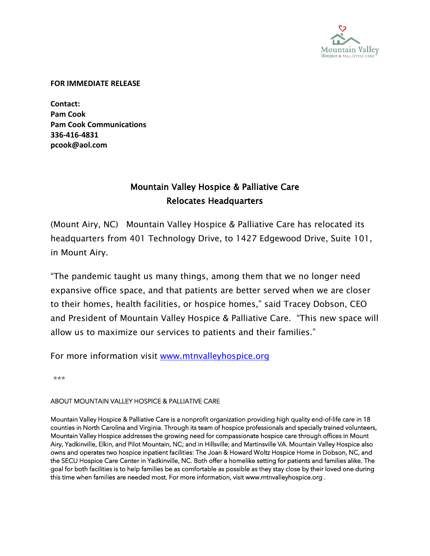

## **FOR IMMEDIATE RELEASE**

**Contact: Pam Cook Pam Cook Communications 336-416-4831 pcook@aol.com**

## Mountain Valley Hospice & Palliative Care Relocates Headquarters

(Mount Airy, NC) Mountain Valley Hospice & Palliative Care has relocated its headquarters from 401 Technology Drive, to 1427 Edgewood Drive, Suite 101, in Mount Airy.

"The pandemic taught us many things, among them that we no longer need expansive office space, and that patients are better served when we are closer to their homes, health facilities, or hospice homes," said Tracey Dobson, CEO and President of Mountain Valley Hospice & Palliative Care. "This new space will allow us to maximize our services to patients and their families."

For more information visit [www.mtnvalleyhospice.org](http://www.mtnvalleyhospice.org/)

\*\*\*

## ABOUT MOUNTAIN VALLEY HOSPICE & PALLIATIVE CARE

Mountain Valley Hospice & Palliative Care is a nonprofit organization providing high quality end-of-life care in 18 counties in North Carolina and Virginia. Through its team of hospice professionals and specially trained volunteers, Mountain Valley Hospice addresses the growing need for compassionate hospice care through offices in Mount Airy, Yadkinville, Elkin, and Pilot Mountain, NC; and in Hillsville<del>,</del> and Martinsville VA. Mountain Valley Hospice also owns and operates two hospice inpatient facilities: The Joan & Howard Woltz Hospice Home in Dobson, NC, and the SECU Hospice Care Center in Yadkinville, NC. Both offer a homelike setting for patients and families alike. The goal for both facilities is to help families be as comfortable as possible as they stay close by their loved one during this time when families are needed most. For more information, visi[t www.mtnvalleyhospice.org](http://www.mtnvalleyhospice.org/) .